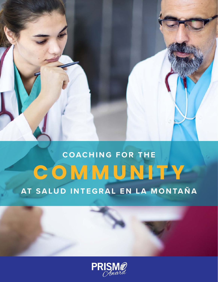# **COACHING FOR THE C O M M U N I T Y AT SALUD INTEGRAL EN LA MONTAÑA**

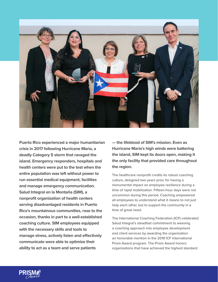

**Puerto Rico experienced a major humanitarian crisis in 2017 following Hurricane Maria, a deadly Category 5 storm that ravaged the island. Emergency responders, hospitals and health centers were put to the test when the entire population was left without power to run essential medical equipment, facilities and manage emergency communication. Salud Integral en la Montaña (SIM), a nonprofit organization of health centers serving disadvantaged residents in Puerto Rico's mountainous communities, rose to the occasion, thanks in part to a well-established coaching culture. SIM employees equipped with the necessary skills and tools to manage stress, actively listen and effectively communicate were able to optimize their ability to act as a team and serve patients** 

**— the lifeblood of SIM's mission. Even as Hurricane Maria's high winds were battering the island, SIM kept its doors open, making it the only facility that provided care throughout the region.** 

The healthcare nonprofit credits its robust coaching culture, designed two years prior, for having a monumental impact on employee resilience during a time of rapid mobilization. Fifteen-hour days were not uncommon during this period. Coaching empowered all employees to understand what it means to not just help each other, but to support the community in a time of great need.

The International Coaching Federation (ICF) celebrated Salud Integral's steadfast commitment to weaving a coaching approach into employee development and client services by awarding the organization an honorable mention in the 2019 ICF International Prism Award program. The Prism Award honors organizations that have achieved the highest standard

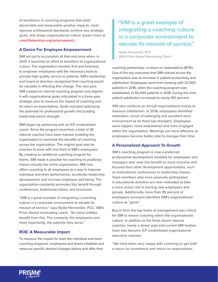of excellence in coaching programs that yield discernible and measurable positive impacts, meet rigorous professional standards, achieve key strategic goals, and shape organizational culture. (Learn more at **[coachfederation.org/prism-award](http://coachfederation.org/prism-award)**.)

### **A Desire For Employee Empowerment**

SIM set out to accomplish all that and more when, in 2015, it launched an effort to transform its organizational culture. The organization wanted, first and foremost, to empower employees with the necessary tools to provide high quality service to patients. SIM's leadership and board of directors recognized that coaching would be valuable in effecting this change. The next year, SIM created an internal coaching program and aligned it with organizational goals articulated in a three-year strategic plan to measure the impact of coaching and its return on expectations. Goals included optimizing the potential for professional growth and building leadership bench strength.

SIM began by partnering with an ICF-credentialed coach. Since the program launched, a total of 36 internal coaches have been trained, enabling the organization to maximize the benefits of coaching across the organization. The original goal was for coaches to work with one-third of SIM's employees. By creating an additional coaching program for teams, SIM made it possible for coaching to positively impact virtually the entire organization. SIM now offers coaching to all employees as a way to improve individual and team performance, accelerate leadership development, and increase employee well-being. The organization constantly promotes this benefit through conferences, testimonial videos, and brochures.

"SIM is a great example of integrating a coaching culture in a corporate environment to elevate its mission of service," says Nydia Hernandez, PCC, SIM's Prism Award nominating coach. "So many entities benefit from this. The company, the employees and most importantly, the patients they serve."

## **ROE: A Measurable Impact**

To measure the impact for both the individual and team coaching programs, employees and teams establish and measure specific desired changes before and after their

# **"SIM is a great example of integrating a coaching culture in a corporate environment to elevate its mission of service."**

*Nydia Hernandez, PCC SIM's Prism Award Nominating Coach*

coaching partnership—a return on expectations (ROE). One of the top outcomes that SIM noticed across the organization was an increase in patient productivity and satisfaction. Employees went from working with 32,000 patients in 2016, when the coaching program was established, to 55,000 patients in 2018. During this time, patient satisfaction increased to nearly 100 percent.

SIM also conducts an annual organizational survey to measure satisfaction. In 2018, employees identified motivation, sense of belonging and excellent work environment as its three top strengths. Employees were happier, more empowered and more engaged within the organization. Meetings are more effective as employees become better able to manage their time.

### **A Personalized Approach To Growth**

SIM's coaching program is now a preferred professional development modality for employees and managers who view this benefit as more inclusive and focused than other development opportunities, such as motivational conferences or leadership classes. Team members who once passively participated in educational activities are now motivated to take a more active role in training new employees and groups. Additionally, more than 95 percent of employees surveyed identified SIM's organizational culture as "great."

Buy-in from the top levels of management was critical for SIM to weave coaching within the organizational culture. In addition to the three dozen internal coaches, nearly a dozen past and current SIM leaders have also become ICF-credentialed organizational executive coaches.

"We have been very happy with coaching to get both a return on investment and return on expectations